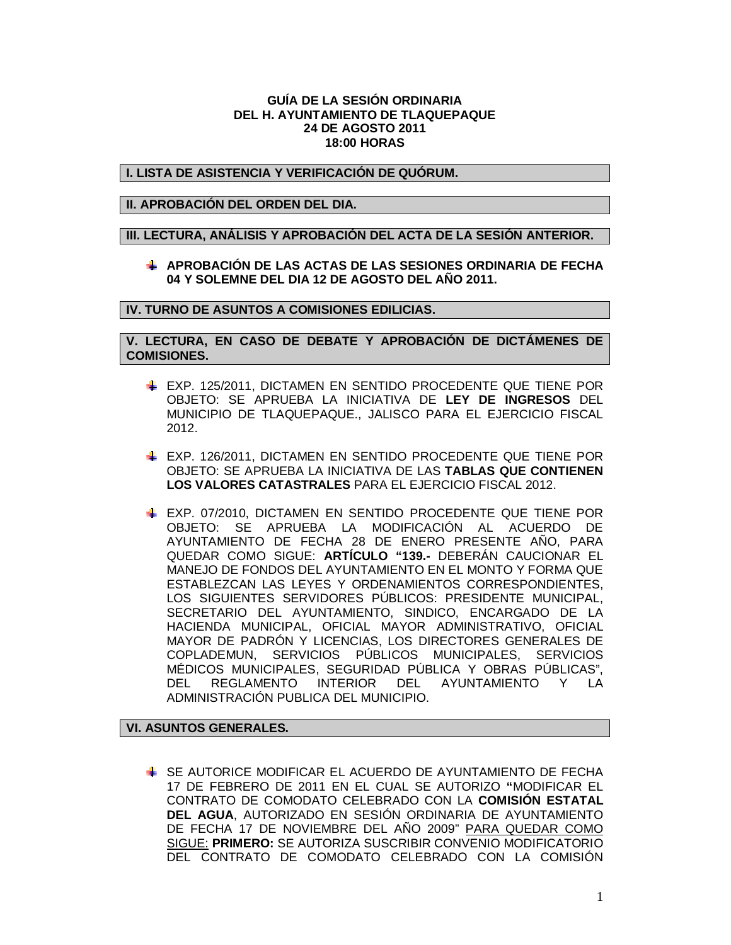### **GUÍA DE LA SESIÓN ORDINARIA DEL H. AYUNTAMIENTO DE TLAQUEPAQUE 24 DE AGOSTO 2011 18:00 HORAS**

# **I. LISTA DE ASISTENCIA Y VERIFICACIÓN DE QUÓRUM.**

# **II. APROBACIÓN DEL ORDEN DEL DIA.**

### **III. LECTURA, ANÁLISIS Y APROBACIÓN DEL ACTA DE LA SESIÓN ANTERIOR.**

**APROBACIÓN DE LAS ACTAS DE LAS SESIONES ORDINARIA DE FECHA 04 Y SOLEMNE DEL DIA 12 DE AGOSTO DEL AÑO 2011.**

### **IV. TURNO DE ASUNTOS A COMISIONES EDILICIAS.**

**V. LECTURA, EN CASO DE DEBATE Y APROBACIÓN DE DICTÁMENES DE COMISIONES.**

- EXP. 125/2011, DICTAMEN EN SENTIDO PROCEDENTE QUE TIENE POR OBJETO: SE APRUEBA LA INICIATIVA DE **LEY DE INGRESOS** DEL MUNICIPIO DE TLAQUEPAQUE., JALISCO PARA EL EJERCICIO FISCAL 2012.
- EXP. 126/2011, DICTAMEN EN SENTIDO PROCEDENTE QUE TIENE POR OBJETO: SE APRUEBA LA INICIATIVA DE LAS **TABLAS QUE CONTIENEN LOS VALORES CATASTRALES** PARA EL EJERCICIO FISCAL 2012.
- EXP. 07/2010, DICTAMEN EN SENTIDO PROCEDENTE QUE TIENE POR OBJETO: SE APRUEBA LA MODIFICACIÓN AL ACUERDO DE AYUNTAMIENTO DE FECHA 28 DE ENERO PRESENTE AÑO, PARA QUEDAR COMO SIGUE: **ARTÍCULO "139.-** DEBERÁN CAUCIONAR EL MANEJO DE FONDOS DEL AYUNTAMIENTO EN EL MONTO Y FORMA QUE ESTABLEZCAN LAS LEYES Y ORDENAMIENTOS CORRESPONDIENTES, LOS SIGUIENTES SERVIDORES PÚBLICOS: PRESIDENTE MUNICIPAL, SECRETARIO DEL AYUNTAMIENTO, SINDICO, ENCARGADO DE LA HACIENDA MUNICIPAL, OFICIAL MAYOR ADMINISTRATIVO, OFICIAL MAYOR DE PADRÓN Y LICENCIAS, LOS DIRECTORES GENERALES DE COPLADEMUN, SERVICIOS PÚBLICOS MUNICIPALES, SERVICIOS MÉDICOS MUNICIPALES, SEGURIDAD PÚBLICA Y OBRAS PÚBLICAS", DEL REGLAMENTO INTERIOR DEL AYUNTAMIENTO Y LA ADMINISTRACIÓN PUBLICA DEL MUNICIPIO.

#### **VI. ASUNTOS GENERALES.**

SE AUTORICE MODIFICAR EL ACUERDO DE AYUNTAMIENTO DE FECHA 17 DE FEBRERO DE 2011 EN EL CUAL SE AUTORIZO **"**MODIFICAR EL CONTRATO DE COMODATO CELEBRADO CON LA **COMISIÓN ESTATAL DEL AGUA**, AUTORIZADO EN SESIÓN ORDINARIA DE AYUNTAMIENTO DE FECHA 17 DE NOVIEMBRE DEL AÑO 2009" PARA QUEDAR COMO SIGUE: **PRIMERO:** SE AUTORIZA SUSCRIBIR CONVENIO MODIFICATORIO DEL CONTRATO DE COMODATO CELEBRADO CON LA COMISIÓN